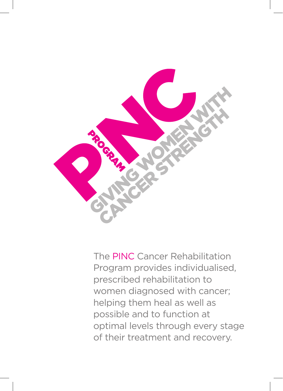

The PINC Cancer Rehabilitation Program provides individualised, prescribed rehabilitation to women diagnosed with cancer; helping them heal as well as possible and to function at optimal levels through every stage of their treatment and recovery.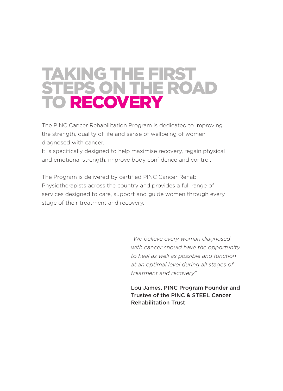## TAKING THE FIRST STEPS ON THE ROAD TO RECOVERY

The PINC Cancer Rehabilitation Program is dedicated to improving the strength, quality of life and sense of wellbeing of women diagnosed with cancer.

It is specifically designed to help maximise recovery, regain physical and emotional strength, improve body confidence and control.

The Program is delivered by certified PINC Cancer Rehab Physiotherapists across the country and provides a full range of services designed to care, support and guide women through every stage of their treatment and recovery.

> *"We believe every woman diagnosed with cancer should have the opportunity to heal as well as possible and function at an optimal level during all stages of treatment and recovery"*

> Lou James, PINC Program Founder and Trustee of the PINC & STEEL Cancer Rehabilitation Trust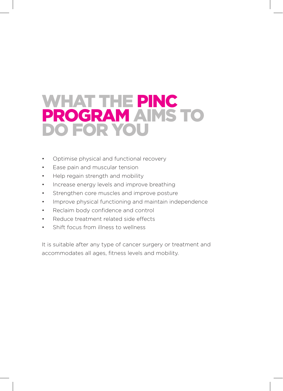#### WHAT THE PINC PROGRAM AIMS TO DO FOR YOU

- Optimise physical and functional recovery
- Ease pain and muscular tension
- Help regain strength and mobility
- Increase energy levels and improve breathing
- Strengthen core muscles and improve posture
- Improve physical functioning and maintain independence
- Reclaim body confidence and control
- Reduce treatment related side effects
- Shift focus from illness to wellness

It is suitable after any type of cancer surgery or treatment and accommodates all ages, fitness levels and mobility.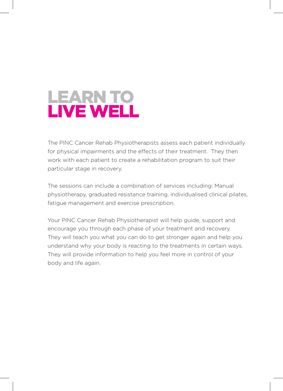

The PINC Cancer Rehab Physiotherapists assess each patient individually for physical impairments and the effects of their treatment. They then work with each patient to create a rehabilitation program to suit their particular stage in recovery.

The sessions can include a combination of services including: Manual physiotherapy, graduated resistance training, individualised clinical pilates, fatigue management and exercise prescription.

Your PINC Cancer Rehab Physiotherapist will help guide, support and encourage you through each phase of your treatment and recovery. They will teach you what you can do to get stronger again and help you understand why your body is reacting to the treatments in certain ways. They will provide information to help you feel more in control of your body and life again.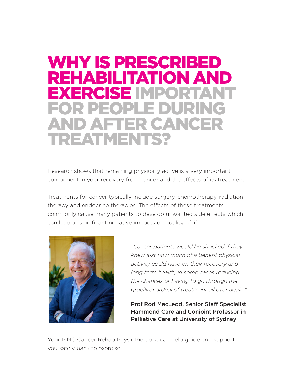## WHY IS PRESCRIBED REHABILITATION AND EXERCISE IMPO FOR PEOPLE DURING AFTER CANCER TREATMENTS?

Research shows that remaining physically active is a very important component in your recovery from cancer and the effects of its treatment.

Treatments for cancer typically include surgery, chemotherapy, radiation therapy and endocrine therapies. The effects of these treatments commonly cause many patients to develop unwanted side effects which can lead to significant negative impacts on quality of life.



*"Cancer patients would be shocked if they knew just how much of a benefit physical activity could have on their recovery and long term health, in some cases reducing the chances of having to go through the gruelling ordeal of treatment all over again."* 

Prof Rod MacLeod, Senior Staff Specialist Hammond Care and Conjoint Professor in Palliative Care at University of Sydney

Your PINC Cancer Rehab Physiotherapist can help guide and support you safely back to exercise.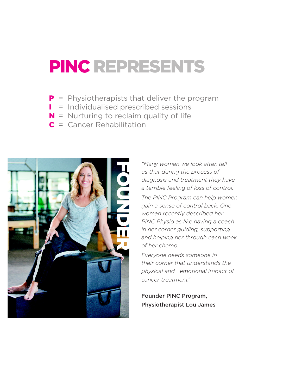# PINC REPRESENTS

- **P** = Physiotherapists that deliver the program
- **I** = Individualised prescribed sessions
- $N =$  Nurturing to reclaim quality of life
- C = Cancer Rehabilitation



*"Many women we look after, tell us that during the process of diagnosis and treatment they have a terrible feeling of loss of control.* 

*The PINC Program can help women gain a sense of control back. One woman recently described her PINC Physio as like having a coach in her corner guiding, supporting and helping her through each week of her chemo.* 

*Everyone needs someone in their corner that understands the physical and emotional impact of cancer treatment"* 

Founder PINC Program, Physiotherapist Lou James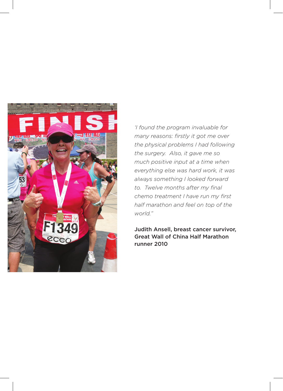

*'I found the program invaluable for many reasons: firstly it got me over the physical problems I had following the surgery. Also, it gave me so much positive input at a time when everything else was hard work, it was always something I looked forward to. Twelve months after my final chemo treatment I have run my first half marathon and feel on top of the world."*

Judith Ansell, breast cancer survivor, Great Wall of China Half Marathon runner 2010